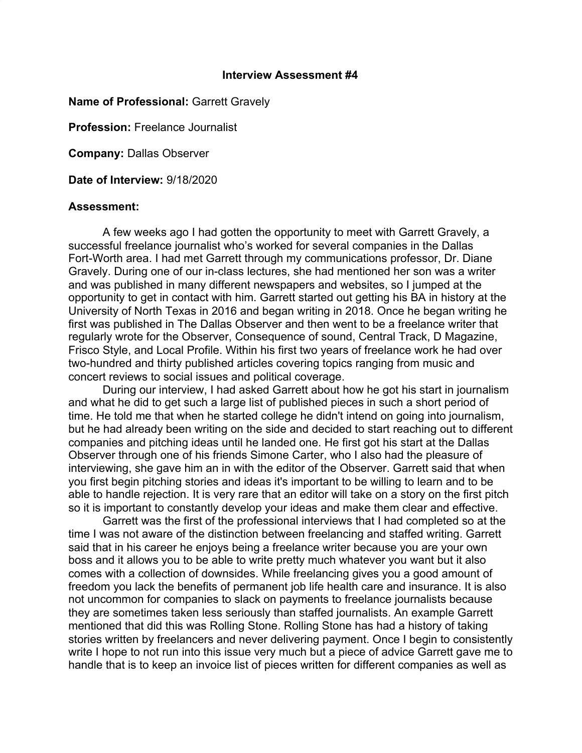## **Interview Assessment #4**

## **Name of Professional:** Garrett Gravely

**Profession:** Freelance Journalist

**Company:** Dallas Observer

**Date of Interview:** 9/18/2020

## **Assessment:**

A few weeks ago I had gotten the opportunity to meet with Garrett Gravely, a successful freelance journalist who's worked for several companies in the Dallas Fort-Worth area. I had met Garrett through my communications professor, Dr. Diane Gravely. During one of our in-class lectures, she had mentioned her son was a writer and was published in many different newspapers and websites, so I jumped at the opportunity to get in contact with him. Garrett started out getting his BA in history at the University of North Texas in 2016 and began writing in 2018. Once he began writing he first was published in The Dallas Observer and then went to be a freelance writer that regularly wrote for the Observer, Consequence of sound, Central Track, D Magazine, Frisco Style, and Local Profile. Within his first two years of freelance work he had over two-hundred and thirty published articles covering topics ranging from music and concert reviews to social issues and political coverage.

During our interview, I had asked Garrett about how he got his start in journalism and what he did to get such a large list of published pieces in such a short period of time. He told me that when he started college he didn't intend on going into journalism, but he had already been writing on the side and decided to start reaching out to different companies and pitching ideas until he landed one. He first got his start at the Dallas Observer through one of his friends Simone Carter, who I also had the pleasure of interviewing, she gave him an in with the editor of the Observer. Garrett said that when you first begin pitching stories and ideas it's important to be willing to learn and to be able to handle rejection. It is very rare that an editor will take on a story on the first pitch so it is important to constantly develop your ideas and make them clear and effective.

Garrett was the first of the professional interviews that I had completed so at the time I was not aware of the distinction between freelancing and staffed writing. Garrett said that in his career he enjoys being a freelance writer because you are your own boss and it allows you to be able to write pretty much whatever you want but it also comes with a collection of downsides. While freelancing gives you a good amount of freedom you lack the benefits of permanent job life health care and insurance. It is also not uncommon for companies to slack on payments to freelance journalists because they are sometimes taken less seriously than staffed journalists. An example Garrett mentioned that did this was Rolling Stone. Rolling Stone has had a history of taking stories written by freelancers and never delivering payment. Once I begin to consistently write I hope to not run into this issue very much but a piece of advice Garrett gave me to handle that is to keep an invoice list of pieces written for different companies as well as